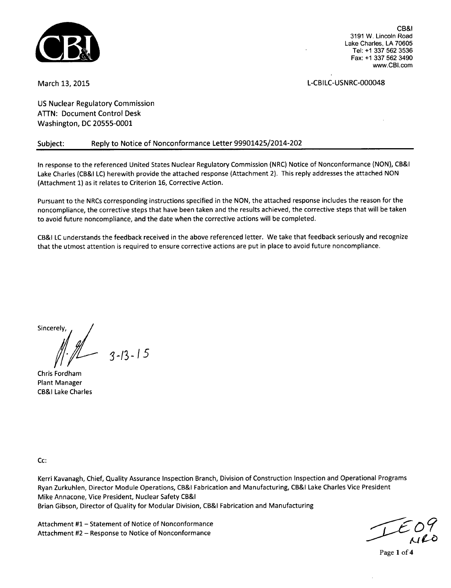

March 13, 2015 **L**-CBILC-USNRC-000048

CB&I

3191 W. Lincoln Road Lake Charles, LA 70605 Tel: +1 337 562 3536 Fax: +1 337 562 3490 www.CBl.com

US Nuclear Regulatory Commission ATTN: Document Control Desk Washington, DC 20555-0001

# Subject: Reply to Notice of Nonconformance Letter 99901425/2014-202

In response to the referenced United States Nuclear Regulatory Commission (NRC) Notice of Nonconformance (NON), CB&I Lake Charles (CB&I LC) herewith provide the attached response (Attachment 2). This reply addresses the attached NON (Attachment 1) as it relates to Criterion 16, Corrective Action.

Pursuant to the NRCs corresponding instructions specified in the NON, the attached response includes the reason for the noncompliance, the corrective steps that have been taken and the results achieved, the corrective steps that will be taken to avoid future noncompliance, and the date when the corrective actions will be completed.

CB&I LC understands the feedback received in the above referenced letter. We take that feedback seriously and recognize that the utmost attention is required to ensure corrective actions are put in place to avoid future noncompliance.

Sincerely,

**3-/3-/5**

Chris Fordham Plant Manager CB&I Lake Charles

Cc:

Kerri Kavanagh, Chief, Quality Assurance Inspection Branch, Division of Construction Inspection and Operational Programs Ryan Zurkuhlen, Director Module Operations, CB&I Fabrication and Manufacturing, CB&I Lake Charles Vice President Mike Annacone, Vice President, Nuclear Safety CB&I Brian Gibson, Director of Quality for Modular Division, CB&I Fabrication and Manufacturing

Attachment **#1** - Statement of Notice of Nonconformance Attachment #2 - Response to Notice of Nonconformance

Page **1** of 4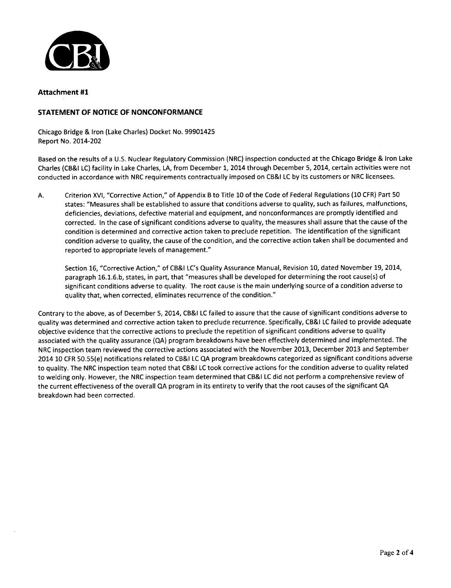

## Attachment **#1**

## **STATEMENT** OF **NOTICE** OF **NONCONFORMANCE**

Chicago Bridge & Iron (Lake Charles) Docket No. 99901425 Report No. 2014-202

Based on the results of a U.S. Nuclear Regulatory Commission (NRC) inspection conducted at the Chicago Bridge & Iron Lake Charles (CB&I LC) facility in Lake Charles, **LA,** from December 1, 2014 through December 5, 2014, certain activities were not conducted in accordance with NRC requirements contractually imposed on CB&I LC by its customers or NRC licensees.

A. Criterion XVI, "Corrective Action," of Appendix B to Title 10 of the Code of Federal Regulations (10 CFR) Part 50 states: "Measures shall be established to assure that conditions adverse to quality, such as failures, malfunctions, deficiencies, deviations, defective material and equipment, and nonconformances are promptly identified and corrected. In the case of significant conditions adverse to quality, the measures shall assure that the cause of the condition is determined and corrective action taken to preclude repetition. The identification of the significant condition adverse to quality, the cause of the condition, and the corrective action taken shall be documented and reported to appropriate levels of management."

Section 16, "Corrective Action," of CB&I LC's Quality Assurance Manual, Revision 10, dated November 19, 2014, paragraph 16.1.6.b, states, in part, that "measures shall be developed for determining the root cause(s) of significant conditions adverse to quality. The root cause is the main underlying source of a condition adverse to quality that, when corrected, eliminates recurrence of the condition."

Contrary to the above, as of December 5, 2014, CB&I LC failed to assure that the cause of significant conditions adverse to quality was determined and corrective action taken to preclude recurrence. Specifically, CB&I LC failed to provide adequate objective evidence that the corrective actions to preclude the repetition of significant conditions adverse to quality associated with the quality assurance (QA) program breakdowns have been effectively determined and implemented. The NRC inspection team reviewed the corrective actions associated with the November 2013, December 2013 and September 2014 10 CFR 50.55(e) notifications related to CB&I LC **QA** program breakdowns categorized as significant conditions adverse to quality. The NRC inspection team noted that CB&I LC took corrective actions for the condition adverse to quality related to welding only. However, the NRC inspection team determined that CB&I LC did not perform a comprehensive review of the current effectiveness of the overall **QA** program in its entirety to verify that the root causes of the significant **QA** breakdown had been corrected.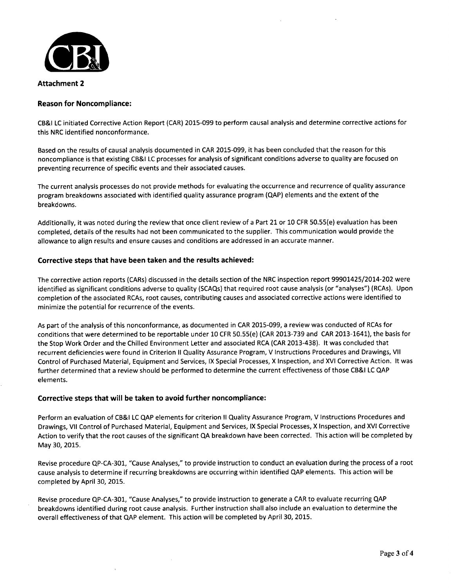

#### Attachment 2

### Reason for Noncompliance:

CB&I LC initiated Corrective Action Report (CAR) 2015-099 to perform causal analysis and determine corrective actions for this NRC identified nonconformance.

Based on the results of causal analysis documented in CAR 2015-099, it has been concluded that the reason for this noncompliance is that existing CB&I **LC** processes for analysis of significant conditions adverse to quality are focused on preventing recurrence of specific events and their associated causes.

The current analysis processes do not provide methods for evaluating the occurrence and recurrence of quality assurance program breakdowns associated with identified quality assurance program (QAP) elements and the extent of the breakdowns.

Additionally, it was noted during the review that once client review of a Part 21 or 10 CFR 50.55(e) evaluation has been completed, details of the results had not been communicated to the supplier. This communication would provide the allowance to align results and ensure causes and conditions are addressed in an accurate manner.

## Corrective steps that have been taken and the results achieved:

The corrective action reports (CARs) discussed in the details section of the NRC inspection report 99901425/2014-202 were identified as significant conditions adverse to quality (SCAQs) that required root cause analysis (or "analyses") (RCAs). Upon completion of the associated RCAs, root causes, contributing causes and associated corrective actions were identified to minimize the potential for recurrence of the events.

As part of the analysis of this nonconformance, as documented in CAR 2015-099, a review was conducted of RCAs for conditions that were determined to be reportable under 10 CFR 50.55(e) (CAR 2013-739 and CAR 2013-1641), the basis for the Stop Work Order and the Chilled Environment Letter and associated RCA (CAR 2013-438). It was concluded that recurrent deficiencies were found in Criterion II Quality Assurance Program, V Instructions Procedures and Drawings, VII Control of Purchased Material, Equipment and Services, IX Special Processes, X Inspection, and XVI Corrective Action. It was further determined that a review should be performed to determine the current effectiveness of those CB&I **LC QAP** elements.

### Corrective steps that will be taken to avoid further noncompliance:

Perform an evaluation of CB&I LC **QAP** elements for criterion II Quality Assurance Program, V Instructions Procedures and Drawings, VII Control of Purchased Material, Equipment and Services, IX Special Processes, X Inspection, and XVI Corrective Action to verify that the root causes of the significant QA breakdown have been corrected. This action will be completed by May 30, 2015.

Revise procedure QP-CA-301, "Cause Analyses," to provide instruction to conduct an evaluation during the process of a root cause analysis to determine if recurring breakdowns are occurring within identified QAP elements. This action will be completed by April 30, 2015.

Revise procedure QP-CA-301, "Cause Analyses," to provide instruction to generate a CAR to evaluate recurring QAP breakdowns identified during root cause analysis. Further instruction shall also include an evaluation to determine the overall effectiveness of that QAP element. This action will be completed by April 30, 2015.